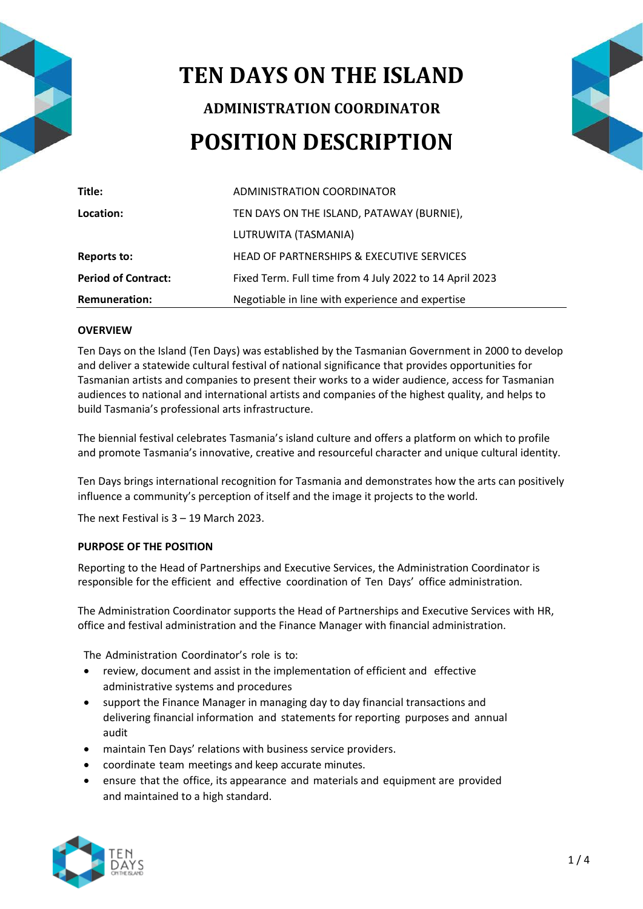

# **TEN DAYS ON THE ISLAND ADMINISTRATION COORDINATOR POSITION DESCRIPTION**



| Title:                     | ADMINISTRATION COORDINATOR                              |
|----------------------------|---------------------------------------------------------|
| Location:                  | TEN DAYS ON THE ISLAND, PATAWAY (BURNIE),               |
|                            | LUTRUWITA (TASMANIA)                                    |
| <b>Reports to:</b>         | HEAD OF PARTNERSHIPS & EXECUTIVE SERVICES               |
| <b>Period of Contract:</b> | Fixed Term. Full time from 4 July 2022 to 14 April 2023 |
| <b>Remuneration:</b>       | Negotiable in line with experience and expertise        |

## **OVERVIEW**

Ten Days on the Island (Ten Days) was established by the Tasmanian Government in 2000 to develop and deliver a statewide cultural festival of national significance that provides opportunities for Tasmanian artists and companies to present their works to a wider audience, access for Tasmanian audiences to national and international artists and companies of the highest quality, and helps to build Tasmania's professional arts infrastructure.

The biennial festival celebrates Tasmania's island culture and offers a platform on which to profile and promote Tasmania's innovative, creative and resourceful character and unique cultural identity.

Ten Days brings international recognition for Tasmania and demonstrates how the arts can positively influence a community's perception of itself and the image it projects to the world.

The next Festival is 3 – 19 March 2023.

#### **PURPOSE OF THE POSITION**

Reporting to the Head of Partnerships and Executive Services, the Administration Coordinator is responsible for the efficient and effective coordination of Ten Days' office administration.

The Administration Coordinator supports the Head of Partnerships and Executive Services with HR, office and festival administration and the Finance Manager with financial administration.

The Administration Coordinator's role is to:

- review, document and assist in the implementation of efficient and effective administrative systems and procedures
- support the Finance Manager in managing day to day financial transactions and delivering financial information and statements for reporting purposes and annual audit
- maintain Ten Days' relations with business service providers.
- coordinate team meetings and keep accurate minutes.
- ensure that the office, its appearance and materials and equipment are provided and maintained to a high standard.

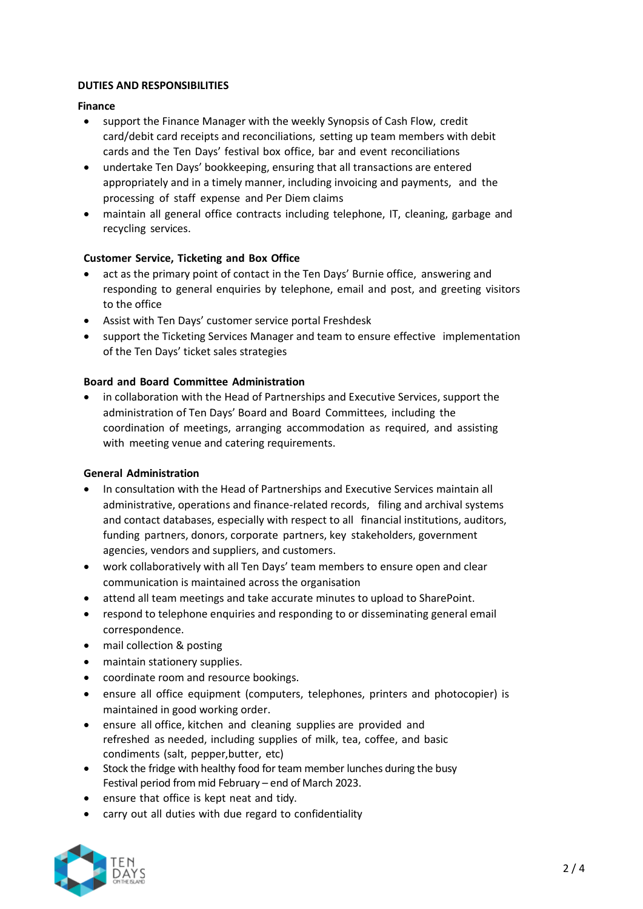## **DUTIES AND RESPONSIBILITIES**

## **Finance**

- support the Finance Manager with the weekly Synopsis of Cash Flow, credit card/debit card receipts and reconciliations, setting up team members with debit cards and the Ten Days' festival box office, bar and event reconciliations
- undertake Ten Days' bookkeeping, ensuring that all transactions are entered appropriately and in a timely manner, including invoicing and payments, and the processing of staff expense and Per Diem claims
- maintain all general office contracts including telephone, IT, cleaning, garbage and recycling services.

# **Customer Service, Ticketing and Box Office**

- act as the primary point of contact in the Ten Days' Burnie office, answering and responding to general enquiries by telephone, email and post, and greeting visitors to the office
- Assist with Ten Days' customer service portal Freshdesk
- support the Ticketing Services Manager and team to ensure effective implementation of the Ten Days' ticket sales strategies

# **Board and Board Committee Administration**

• in collaboration with the Head of Partnerships and Executive Services, support the administration of Ten Days' Board and Board Committees, including the coordination of meetings, arranging accommodation as required, and assisting with meeting venue and catering requirements.

# **General Administration**

- In consultation with the Head of Partnerships and Executive Services maintain all administrative, operations and finance-related records, filing and archival systems and contact databases, especially with respect to all financial institutions, auditors, funding partners, donors, corporate partners, key stakeholders, government agencies, vendors and suppliers, and customers.
- work collaboratively with all Ten Days' team members to ensure open and clear communication is maintained across the organisation
- attend all team meetings and take accurate minutes to upload to SharePoint.
- respond to telephone enquiries and responding to or disseminating general email correspondence.
- mail collection & posting
- maintain stationery supplies.
- coordinate room and resource bookings.
- ensure all office equipment (computers, telephones, printers and photocopier) is maintained in good working order.
- ensure all office, kitchen and cleaning supplies are provided and refreshed as needed, including supplies of milk, tea, coffee, and basic condiments (salt, pepper,butter, etc)
- Stock the fridge with healthy food for team member lunches during the busy Festival period from mid February – end of March 2023.
- ensure that office is kept neat and tidy.
- carry out all duties with due regard to confidentiality

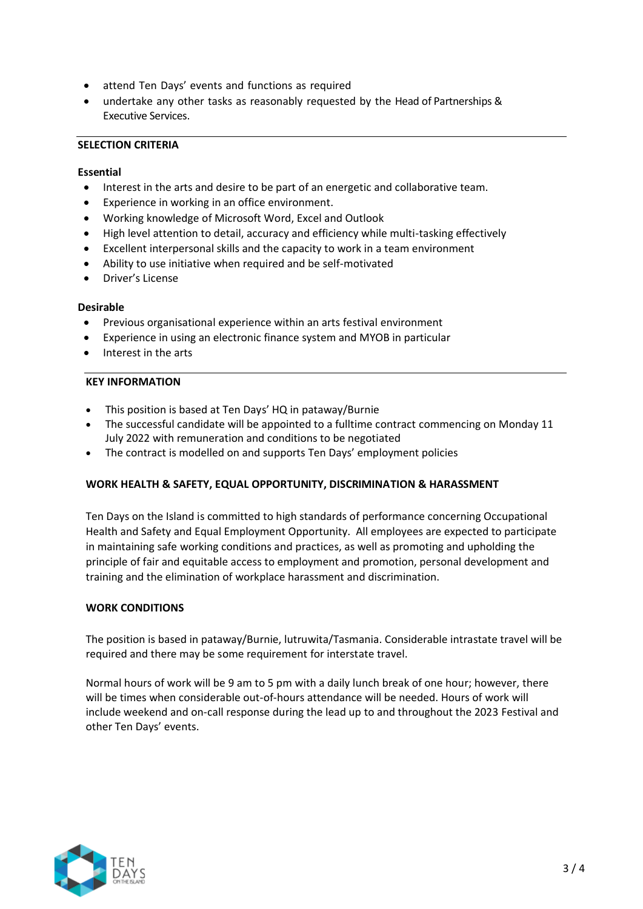- attend Ten Days' events and functions as required
- undertake any other tasks as reasonably requested by the Head of Partnerships & Executive Services.

## **SELECTION CRITERIA**

## **Essential**

- Interest in the arts and desire to be part of an energetic and collaborative team.
- Experience in working in an office environment.
- Working knowledge of Microsoft Word, Excel and Outlook
- High level attention to detail, accuracy and efficiency while multi-tasking effectively
- Excellent interpersonal skills and the capacity to work in a team environment
- Ability to use initiative when required and be self-motivated
- Driver's License

## **Desirable**

- Previous organisational experience within an arts festival environment
- Experience in using an electronic finance system and MYOB in particular
- Interest in the arts

# **KEY INFORMATION**

- This position is based at Ten Days' HQ in pataway/Burnie
- The successful candidate will be appointed to a fulltime contract commencing on Monday 11 July 2022 with remuneration and conditions to be negotiated
- The contract is modelled on and supports Ten Days' employment policies

# **WORK HEALTH & SAFETY, EQUAL OPPORTUNITY, DISCRIMINATION & HARASSMENT**

Ten Days on the Island is committed to high standards of performance concerning Occupational Health and Safety and Equal Employment Opportunity. All employees are expected to participate in maintaining safe working conditions and practices, as well as promoting and upholding the principle of fair and equitable access to employment and promotion, personal development and training and the elimination of workplace harassment and discrimination.

#### **WORK CONDITIONS**

The position is based in pataway/Burnie, lutruwita/Tasmania. Considerable intrastate travel will be required and there may be some requirement for interstate travel.

Normal hours of work will be 9 am to 5 pm with a daily lunch break of one hour; however, there will be times when considerable out-of-hours attendance will be needed. Hours of work will include weekend and on-call response during the lead up to and throughout the 2023 Festival and other Ten Days' events.